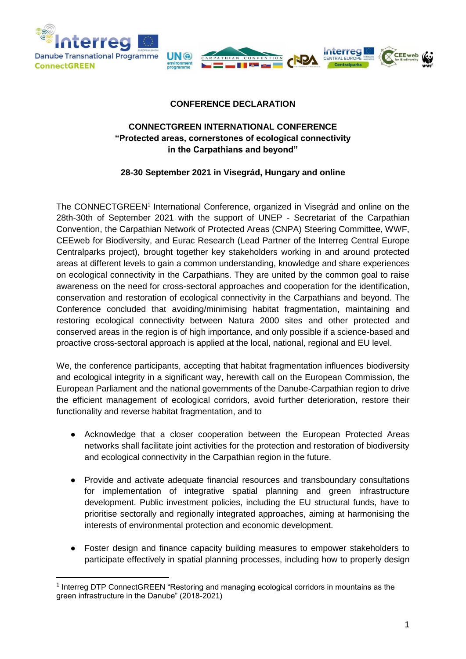

-



## **CONFERENCE DECLARATION**

## **CONNECTGREEN INTERNATIONAL CONFERENCE "Protected areas, cornerstones of ecological connectivity in the Carpathians and beyond"**

## **28-30 September 2021 in Visegrád, Hungary and online**

The CONNECTGREEN<sup>1</sup> International Conference, organized in Visegrád and online on the 28th-30th of September 2021 with the support of UNEP - Secretariat of the Carpathian Convention, the Carpathian Network of Protected Areas (CNPA) Steering Committee, WWF, CEEweb for Biodiversity, and Eurac Research (Lead Partner of the Interreg Central Europe Centralparks project), brought together key stakeholders working in and around protected areas at different levels to gain a common understanding, knowledge and share experiences on ecological connectivity in the Carpathians. They are united by the common goal to raise awareness on the need for cross-sectoral approaches and cooperation for the identification, conservation and restoration of ecological connectivity in the Carpathians and beyond. The Conference concluded that avoiding/minimising habitat fragmentation, maintaining and restoring ecological connectivity between Natura 2000 sites and other protected and conserved areas in the region is of high importance, and only possible if a science-based and proactive cross-sectoral approach is applied at the local, national, regional and EU level.

We, the conference participants, accepting that habitat fragmentation influences biodiversity and ecological integrity in a significant way, herewith call on the European Commission, the European Parliament and the national governments of the Danube-Carpathian region to drive the efficient management of ecological corridors, avoid further deterioration, restore their functionality and reverse habitat fragmentation, and to

- Acknowledge that a closer cooperation between the European Protected Areas networks shall facilitate joint activities for the protection and restoration of biodiversity and ecological connectivity in the Carpathian region in the future.
- Provide and activate adequate financial resources and transboundary consultations for implementation of integrative spatial planning and green infrastructure development. Public investment policies, including the EU structural funds, have to prioritise sectorally and regionally integrated approaches, aiming at harmonising the interests of environmental protection and economic development.
- Foster design and finance capacity building measures to empower stakeholders to participate effectively in spatial planning processes, including how to properly design

<sup>&</sup>lt;sup>1</sup> Interreg DTP ConnectGREEN "Restoring and managing ecological corridors in mountains as the green infrastructure in the Danube" (2018-2021)